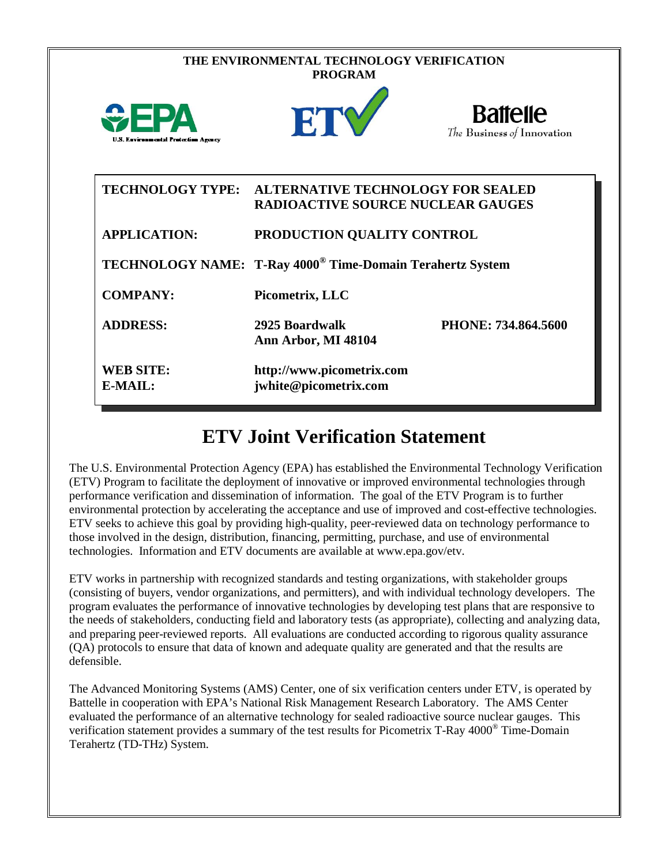| THE ENVIRONMENTAL TECHNOLOGY VERIFICATION<br><b>PROGRAM</b> |                                                                                                |                                               |
|-------------------------------------------------------------|------------------------------------------------------------------------------------------------|-----------------------------------------------|
| <b>WEPA</b><br><b>U.S. Environmental Protection Agency</b>  | ETY                                                                                            | <b>Battelle</b><br>The Business of Innovation |
|                                                             | TECHNOLOGY TYPE: ALTERNATIVE TECHNOLOGY FOR SEALED<br><b>RADIOACTIVE SOURCE NUCLEAR GAUGES</b> |                                               |
| <b>APPLICATION:</b>                                         | PRODUCTION QUALITY CONTROL                                                                     |                                               |
|                                                             | TECHNOLOGY NAME: T-Ray 4000 <sup>®</sup> Time-Domain Terahertz System                          |                                               |
| <b>COMPANY:</b>                                             | Picometrix, LLC                                                                                |                                               |
| <b>ADDRESS:</b>                                             | 2925 Boardwalk<br>Ann Arbor, MI 48104                                                          | PHONE: 734.864.5600                           |
| <b>WEB SITE:</b><br>E-MAIL:                                 | http://www.picometrix.com<br>jwhite@picometrix.com                                             |                                               |

## **ETV Joint Verification Statement**

The U.S. Environmental Protection Agency (EPA) has established the Environmental Technology Verification (ETV) Program to facilitate the deployment of innovative or improved environmental technologies through performance verification and dissemination of information. The goal of the ETV Program is to further environmental protection by accelerating the acceptance and use of improved and cost-effective technologies. ETV seeks to achieve this goal by providing high-quality, peer-reviewed data on technology performance to those involved in the design, distribution, financing, permitting, purchase, and use of environmental technologies. Information and ETV documents are available at www.epa.gov/etv.

ETV works in partnership with recognized standards and testing organizations, with stakeholder groups (consisting of buyers, vendor organizations, and permitters), and with individual technology developers. The program evaluates the performance of innovative technologies by developing test plans that are responsive to the needs of stakeholders, conducting field and laboratory tests (as appropriate), collecting and analyzing data, and preparing peer-reviewed reports. All evaluations are conducted according to rigorous quality assurance (QA) protocols to ensure that data of known and adequate quality are generated and that the results are defensible.

The Advanced Monitoring Systems (AMS) Center, one of six verification centers under ETV, is operated by Battelle in cooperation with EPA's National Risk Management Research Laboratory. The AMS Center evaluated the performance of an alternative technology for sealed radioactive source nuclear gauges. This verification statement provides a summary of the test results for Picometrix T-Ray 4000® Time-Domain Terahertz (TD-THz) System.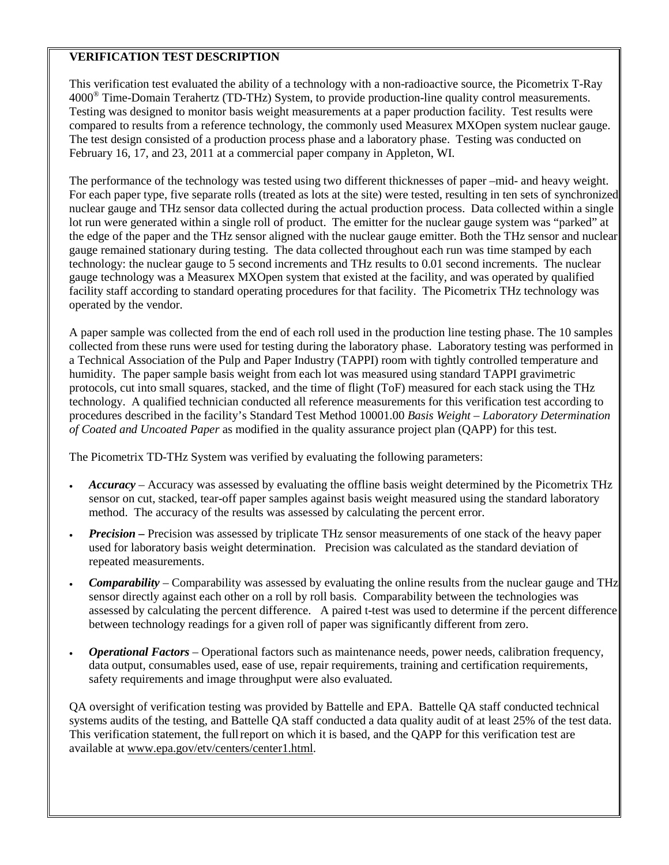## **VERIFICATION TEST DESCRIPTION**

This verification test evaluated the ability of a technology with a non-radioactive source, the Picometrix T-Ray 4000® Time-Domain Terahertz (TD-THz) System, to provide production-line quality control measurements. Testing was designed to monitor basis weight measurements at a paper production facility. Test results were compared to results from a reference technology, the commonly used Measurex MXOpen system nuclear gauge. The test design consisted of a production process phase and a laboratory phase. Testing was conducted on February 16, 17, and 23, 2011 at a commercial paper company in Appleton, WI.

The performance of the technology was tested using two different thicknesses of paper –mid- and heavy weight. For each paper type, five separate rolls (treated as lots at the site) were tested, resulting in ten sets of synchronized nuclear gauge and THz sensor data collected during the actual production process. Data collected within a single lot run were generated within a single roll of product. The emitter for the nuclear gauge system was "parked" at the edge of the paper and the THz sensor aligned with the nuclear gauge emitter. Both the THz sensor and nuclear gauge remained stationary during testing. The data collected throughout each run was time stamped by each technology: the nuclear gauge to 5 second increments and THz results to 0.01 second increments. The nuclear gauge technology was a Measurex MXOpen system that existed at the facility, and was operated by qualified facility staff according to standard operating procedures for that facility. The Picometrix THz technology was operated by the vendor.

A paper sample was collected from the end of each roll used in the production line testing phase. The 10 samples collected from these runs were used for testing during the laboratory phase. Laboratory testing was performed in a Technical Association of the Pulp and Paper Industry (TAPPI) room with tightly controlled temperature and humidity. The paper sample basis weight from each lot was measured using standard TAPPI gravimetric protocols, cut into small squares, stacked, and the time of flight (ToF) measured for each stack using the THz technology. A qualified technician conducted all reference measurements for this verification test according to procedures described in the facility's Standard Test Method 10001.00 *Basis Weight – Laboratory Determination of Coated and Uncoated Paper* as modified in the quality assurance project plan (QAPP) for this test.

The Picometrix TD-THz System was verified by evaluating the following parameters:

- *Accuracy* Accuracy was assessed by evaluating the offline basis weight determined by the Picometrix THz sensor on cut, stacked, tear-off paper samples against basis weight measured using the standard laboratory method. The accuracy of the results was assessed by calculating the percent error.
- *Precision* Precision was assessed by triplicate THz sensor measurements of one stack of the heavy paper used for laboratory basis weight determination. Precision was calculated as the standard deviation of repeated measurements.
- *Comparability* Comparability was assessed by evaluating the online results from the nuclear gauge and THz sensor directly against each other on a roll by roll basis. Comparability between the technologies was assessed by calculating the percent difference. A paired t-test was used to determine if the percent difference between technology readings for a given roll of paper was significantly different from zero.
- *Operational Factors* Operational factors such as maintenance needs, power needs, calibration frequency, data output, consumables used, ease of use, repair requirements, training and certification requirements, safety requirements and image throughput were also evaluated.

QA oversight of verification testing was provided by Battelle and EPA. Battelle QA staff conducted technical systems audits of the testing, and Battelle QA staff conducted a data quality audit of at least 25% of the test data. This verification statement, the fullreport on which it is based, and the QAPP for this verification test are available at [www.epa.gov/etv/centers/center1.html.](http://www.epa.gov/etv/centers/center1.html)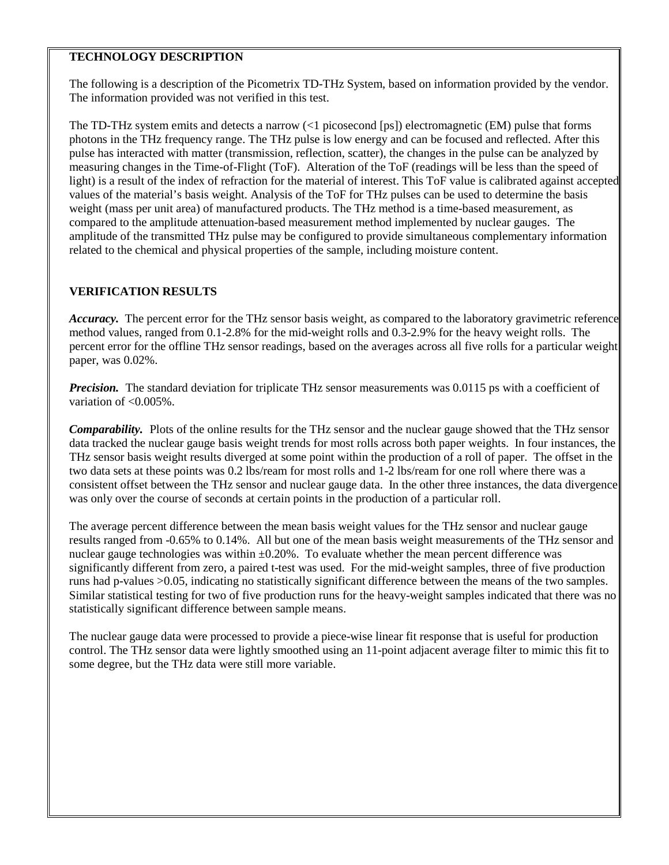## **TECHNOLOGY DESCRIPTION**

The following is a description of the Picometrix TD-THz System, based on information provided by the vendor. The information provided was not verified in this test.

The TD-THz system emits and detects a narrow (<1 picosecond [ps]) electromagnetic (EM) pulse that forms photons in the THz frequency range. The THz pulse is low energy and can be focused and reflected. After this pulse has interacted with matter (transmission, reflection, scatter), the changes in the pulse can be analyzed by measuring changes in the Time-of-Flight (ToF). Alteration of the ToF (readings will be less than the speed of light) is a result of the index of refraction for the material of interest. This ToF value is calibrated against accepted values of the material's basis weight. Analysis of the ToF for THz pulses can be used to determine the basis weight (mass per unit area) of manufactured products. The THz method is a time-based measurement, as compared to the amplitude attenuation-based measurement method implemented by nuclear gauges. The amplitude of the transmitted THz pulse may be configured to provide simultaneous complementary information related to the chemical and physical properties of the sample, including moisture content.

## **VERIFICATION RESULTS**

*Accuracy.* The percent error for the THz sensor basis weight, as compared to the laboratory gravimetric reference method values, ranged from 0.1-2.8% for the mid-weight rolls and 0.3-2.9% for the heavy weight rolls. The percent error for the offline THz sensor readings, based on the averages across all five rolls for a particular weight paper, was 0.02%.

*Precision.* The standard deviation for triplicate THz sensor measurements was 0.0115 ps with a coefficient of variation of <0.005%.

*Comparability.* Plots of the online results for the THz sensor and the nuclear gauge showed that the THz sensor data tracked the nuclear gauge basis weight trends for most rolls across both paper weights. In four instances, the THz sensor basis weight results diverged at some point within the production of a roll of paper. The offset in the two data sets at these points was 0.2 lbs/ream for most rolls and 1-2 lbs/ream for one roll where there was a consistent offset between the THz sensor and nuclear gauge data. In the other three instances, the data divergence was only over the course of seconds at certain points in the production of a particular roll.

The average percent difference between the mean basis weight values for the THz sensor and nuclear gauge results ranged from -0.65% to 0.14%. All but one of the mean basis weight measurements of the THz sensor and nuclear gauge technologies was within  $\pm 0.20$ %. To evaluate whether the mean percent difference was significantly different from zero, a paired t-test was used. For the mid-weight samples, three of five production runs had p-values >0.05, indicating no statistically significant difference between the means of the two samples. Similar statistical testing for two of five production runs for the heavy-weight samples indicated that there was no statistically significant difference between sample means.

The nuclear gauge data were processed to provide a piece-wise linear fit response that is useful for production control. The THz sensor data were lightly smoothed using an 11-point adjacent average filter to mimic this fit to some degree, but the THz data were still more variable.